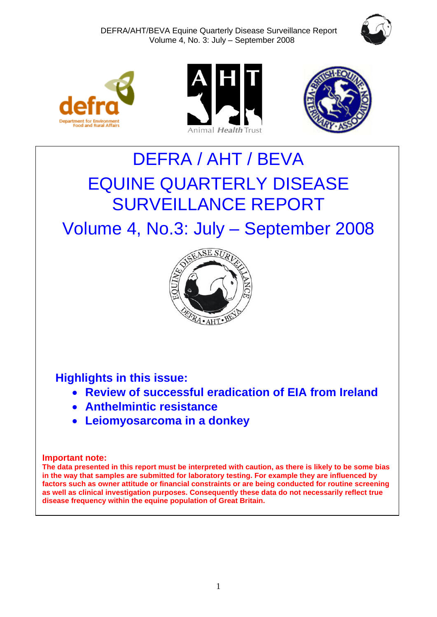







# DEFRA / AHT / BEVA EQUINE QUARTERLY DISEASE SURVEILLANCE REPORT

Volume 4, No.3: July – September 2008



**Highlights in this issue:**

- **Review of successful eradication of EIA from Ireland**
- **Anthelmintic resistance**
- **Leiomyosarcoma in a donkey**

# **Important note:**

**The data presented in this report must be interpreted with caution, as there is likely to be some bias in the way that samples are submitted for laboratory testing. For example they are influenced by factors such as owner attitude or financial constraints or are being conducted for routine screening as well as clinical investigation purposes. Consequently these data do not necessarily reflect true disease frequency within the equine population of Great Britain.**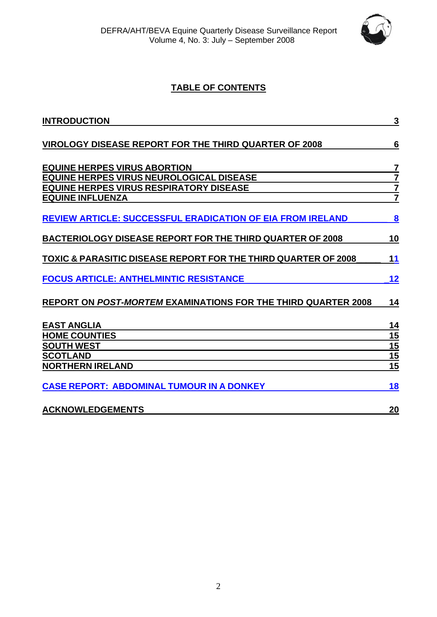

# **TABLE OF CONTENTS**

| <b>INTRODUCTION</b>                                                       | 3               |
|---------------------------------------------------------------------------|-----------------|
| VIROLOGY DISEASE REPORT FOR THE THIRD QUARTER OF 2008                     | 6               |
| <b>EQUINE HERPES VIRUS ABORTION</b>                                       | 7               |
| EQUINE HERPES VIRUS NEUROLOGICAL DISEASE                                  | $\overline{7}$  |
| <b>EQUINE HERPES VIRUS RESPIRATORY DISEASE</b><br><b>EQUINE INFLUENZA</b> | $\frac{7}{7}$   |
| <b>REVIEW ARTICLE: SUCCESSFUL ERADICATION OF EIA FROM IRELAND</b>         | 8               |
| <b>BACTERIOLOGY DISEASE REPORT FOR THE THIRD QUARTER OF 2008</b>          | 10              |
| TOXIC & PARASITIC DISEASE REPORT FOR THE THIRD QUARTER OF 2008            | 11              |
| <b>FOCUS ARTICLE: ANTHELMINTIC RESISTANCE</b>                             | 12              |
| <b>REPORT ON POST-MORTEM EXAMINATIONS FOR THE THIRD QUARTER 2008</b>      | 14              |
| <b>EAST ANGLIA</b>                                                        | 14              |
| <b>HOME COUNTIES</b>                                                      | 15              |
| <b>SOUTH WEST</b>                                                         | 15              |
| <b>SCOTLAND</b>                                                           | $\frac{15}{15}$ |
| <b>NORTHERN IRELAND</b>                                                   |                 |
| <b>CASE REPORT: ABDOMINAL TUMOUR IN A DONKEY</b>                          | 18              |
| <b>ACKNOWLEDGEMENTS</b>                                                   | 20              |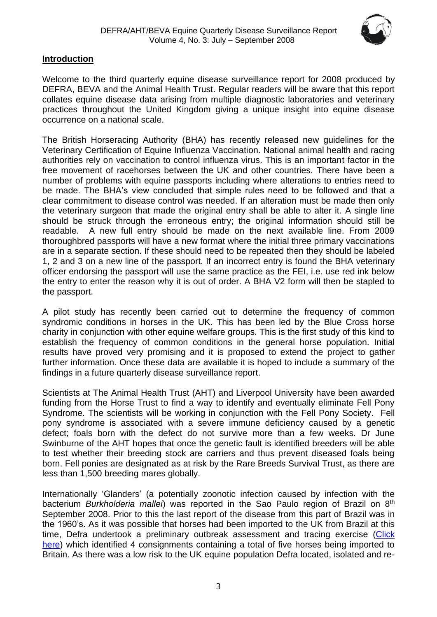

# **Introduction**

Welcome to the third quarterly equine disease surveillance report for 2008 produced by DEFRA, BEVA and the Animal Health Trust. Regular readers will be aware that this report collates equine disease data arising from multiple diagnostic laboratories and veterinary practices throughout the United Kingdom giving a unique insight into equine disease occurrence on a national scale.

The British Horseracing Authority (BHA) has recently released new guidelines for the Veterinary Certification of Equine Influenza Vaccination. National animal health and racing authorities rely on vaccination to control influenza virus. This is an important factor in the free movement of racehorses between the UK and other countries. There have been a number of problems with equine passports including where alterations to entries need to be made. The BHA's view concluded that simple rules need to be followed and that a clear commitment to disease control was needed. If an alteration must be made then only the veterinary surgeon that made the original entry shall be able to alter it. A single line should be struck through the erroneous entry; the original information should still be readable. A new full entry should be made on the next available line. From 2009 thoroughbred passports will have a new format where the initial three primary vaccinations are in a separate section. If these should need to be repeated then they should be labeled 1, 2 and 3 on a new line of the passport. If an incorrect entry is found the BHA veterinary officer endorsing the passport will use the same practice as the FEI, i.e. use red ink below the entry to enter the reason why it is out of order. A BHA V2 form will then be stapled to the passport.

A pilot study has recently been carried out to determine the frequency of common syndromic conditions in horses in the UK. This has been led by the Blue Cross horse charity in conjunction with other equine welfare groups. This is the first study of this kind to establish the frequency of common conditions in the general horse population. Initial results have proved very promising and it is proposed to extend the project to gather further information. Once these data are available it is hoped to include a summary of the findings in a future quarterly disease surveillance report.

Scientists at The Animal Health Trust (AHT) and Liverpool University have been awarded funding from the Horse Trust to find a way to identify and eventually eliminate Fell Pony Syndrome. The scientists will be working in conjunction with the Fell Pony Society. Fell pony syndrome is associated with a severe immune deficiency caused by a genetic defect; foals born with the defect do not survive more than a few weeks. Dr June Swinburne of the AHT hopes that once the genetic fault is identified breeders will be able to test whether their breeding stock are carriers and thus prevent diseased foals being born. Fell ponies are designated as at risk by the Rare Breeds Survival Trust, as there are less than 1,500 breeding mares globally.

Internationally 'Glanders' (a potentially zoonotic infection caused by infection with the bacterium *Burkholderia mallei*) was reported in the Sao Paulo region of Brazil on 8th September 2008. Prior to this the last report of the disease from this part of Brazil was in the 1960's. As it was possible that horses had been imported to the UK from Brazil at this time, Defra undertook a preliminary outbreak assessment and tracing exercise (Click [here\)](http://www.defra.gov.uk/animalh/diseases/monitoring/pdf/glanders-brazil080924.pdf) which identified 4 consignments containing a total of five horses being imported to Britain. As there was a low risk to the UK equine population Defra located, isolated and re-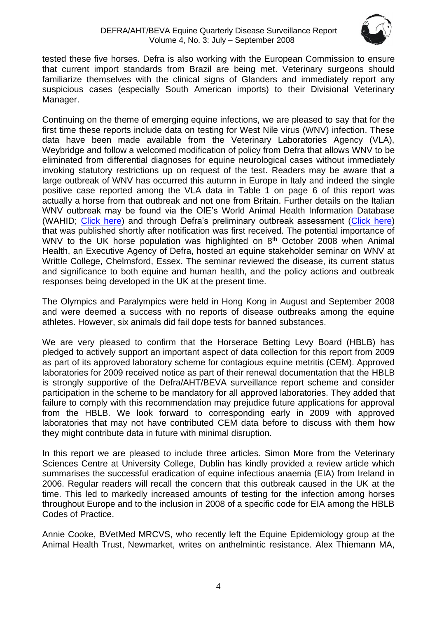

tested these five horses. Defra is also working with the European Commission to ensure that current import standards from Brazil are being met. Veterinary surgeons should familiarize themselves with the clinical signs of Glanders and immediately report any suspicious cases (especially South American imports) to their Divisional Veterinary Manager.

Continuing on the theme of emerging equine infections, we are pleased to say that for the first time these reports include data on testing for West Nile virus (WNV) infection. These data have been made available from the Veterinary Laboratories Agency (VLA), Weybridge and follow a welcomed modification of policy from Defra that allows WNV to be eliminated from differential diagnoses for equine neurological cases without immediately invoking statutory restrictions up on request of the test. Readers may be aware that a large outbreak of WNV has occurred this autumn in Europe in Italy and indeed the single positive case reported among the VLA data in Table 1 on page 6 of this report was actually a horse from that outbreak and not one from Britain. Further details on the Italian WNV outbreak may be found via the OIE's World Animal Health Information Database (WAHID: [Click here\)](http://www.oie.int/wahis/public.php?page=disease_immediate_summary&disease_type=Terrestrial&disease_id=188&empty=999999) and through Defra's preliminary outbreak assessment [\(Click here\)](http://www.defra.gov.uk/animalh/diseases/monitoring/pdf/wnv-italy.pdf) that was published shortly after notification was first received. The potential importance of WNV to the UK horse population was highlighted on 8<sup>th</sup> October 2008 when Animal Health, an Executive Agency of Defra, hosted an equine stakeholder seminar on WNV at Writtle College, Chelmsford, Essex. The seminar reviewed the disease, its current status and significance to both equine and human health, and the policy actions and outbreak responses being developed in the UK at the present time.

The Olympics and Paralympics were held in Hong Kong in August and September 2008 and were deemed a success with no reports of disease outbreaks among the equine athletes. However, six animals did fail dope tests for banned substances.

We are very pleased to confirm that the Horserace Betting Levy Board (HBLB) has pledged to actively support an important aspect of data collection for this report from 2009 as part of its approved laboratory scheme for contagious equine metritis (CEM). Approved laboratories for 2009 received notice as part of their renewal documentation that the HBLB is strongly supportive of the Defra/AHT/BEVA surveillance report scheme and consider participation in the scheme to be mandatory for all approved laboratories. They added that failure to comply with this recommendation may prejudice future applications for approval from the HBLB. We look forward to corresponding early in 2009 with approved laboratories that may not have contributed CEM data before to discuss with them how they might contribute data in future with minimal disruption.

In this report we are pleased to include three articles. Simon More from the Veterinary Sciences Centre at University College, Dublin has kindly provided a review article which summarises the successful eradication of equine infectious anaemia (EIA) from Ireland in 2006. Regular readers will recall the concern that this outbreak caused in the UK at the time. This led to markedly increased amounts of testing for the infection among horses throughout Europe and to the inclusion in 2008 of a specific code for EIA among the HBLB Codes of Practice.

Annie Cooke, BVetMed MRCVS, who recently left the Equine Epidemiology group at the Animal Health Trust, Newmarket, writes on anthelmintic resistance. Alex Thiemann MA,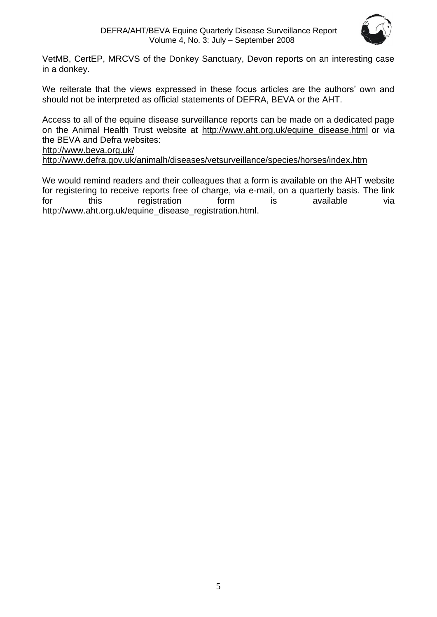

VetMB, CertEP, MRCVS of the Donkey Sanctuary, Devon reports on an interesting case in a donkey.

We reiterate that the views expressed in these focus articles are the authors' own and should not be interpreted as official statements of DEFRA, BEVA or the AHT.

Access to all of the equine disease surveillance reports can be made on a dedicated page on the Animal Health Trust website at [http://www.aht.org.uk/equine\\_disease.html](http://www.aht.org.uk/equine_disease.html) or via the BEVA and Defra websites:

<http://www.beva.org.uk/>

<http://www.defra.gov.uk/animalh/diseases/vetsurveillance/species/horses/index.htm>

We would remind readers and their colleagues that a form is available on the AHT website for registering to receive reports free of charge, via e-mail, on a quarterly basis. The link for this registration form is available via [http://www.aht.org.uk/equine\\_disease\\_registration.html.](http://www.aht.org.uk/equine_disease_registration.html)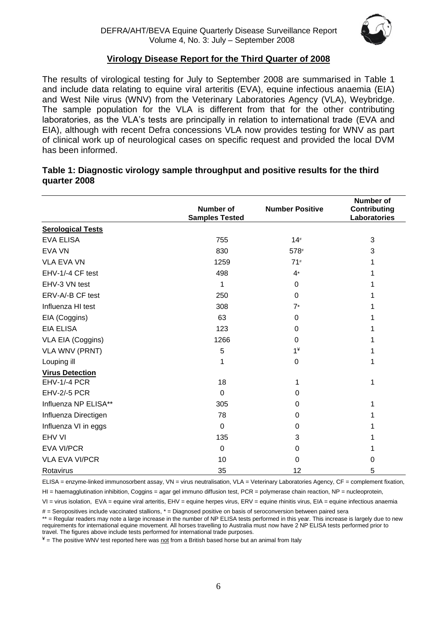

# **Virology Disease Report for the Third Quarter of 2008**

The results of virological testing for July to September 2008 are summarised in Table 1 and include data relating to equine viral arteritis (EVA), equine infectious anaemia (EIA) and West Nile virus (WNV) from the Veterinary Laboratories Agency (VLA), Weybridge. The sample population for the VLA is different from that for the other contributing laboratories, as the VLA's tests are principally in relation to international trade (EVA and EIA), although with recent Defra concessions VLA now provides testing for WNV as part of clinical work up of neurological cases on specific request and provided the local DVM has been informed.

#### **Table 1: Diagnostic virology sample throughput and positive results for the third quarter 2008**

|                          | Number of<br><b>Samples Tested</b> | <b>Number Positive</b> | <b>Number of</b><br><b>Contributing</b><br>Laboratories |
|--------------------------|------------------------------------|------------------------|---------------------------------------------------------|
| <b>Serological Tests</b> |                                    |                        |                                                         |
| <b>EVA ELISA</b>         | 755                                | 14#                    | 3                                                       |
| <b>EVA VN</b>            | 830                                | 578#                   | 3                                                       |
| <b>VLA EVA VN</b>        | 1259                               | 71#                    | 1                                                       |
| EHV-1/-4 CF test         | 498                                | $4*$                   | 1                                                       |
| EHV-3 VN test            | 1                                  | 0                      | 1                                                       |
| ERV-A/-B CF test         | 250                                | 0                      |                                                         |
| Influenza HI test        | 308                                | $7*$                   |                                                         |
| EIA (Coggins)            | 63                                 | 0                      |                                                         |
| <b>EIA ELISA</b>         | 123                                | 0                      |                                                         |
| VLA EIA (Coggins)        | 1266                               | 0                      |                                                         |
| <b>VLA WNV (PRNT)</b>    | 5                                  | $1*$                   | 1                                                       |
| Louping ill              | 1                                  | 0                      | 1                                                       |
| <b>Virus Detection</b>   |                                    |                        |                                                         |
| EHV-1/-4 PCR             | 18                                 | 1                      | 1                                                       |
| <b>EHV-2/-5 PCR</b>      | $\mathbf{0}$                       | 0                      |                                                         |
| Influenza NP ELISA**     | 305                                | 0                      | 1                                                       |
| Influenza Directigen     | 78                                 | 0                      |                                                         |
| Influenza VI in eggs     | $\mathbf 0$                        | 0                      |                                                         |
| EHV VI                   | 135                                | 3                      |                                                         |
| <b>EVA VI/PCR</b>        | 0                                  | 0                      |                                                         |
| <b>VLA EVA VI/PCR</b>    | 10                                 | 0                      | 0                                                       |
| Rotavirus                | 35                                 | 12                     | 5                                                       |

ELISA = enzyme-linked immunosorbent assay, VN = virus neutralisation, VLA = Veterinary Laboratories Agency, CF = complement fixation,

HI = haemagglutination inhibition, Coggins = agar gel immuno diffusion test, PCR = polymerase chain reaction, NP = nucleoprotein,

VI = virus isolation, EVA = equine viral arteritis, EHV = equine herpes virus, ERV = equine rhinitis virus, EIA = equine infectious anaemia

 $#$  = Seropositives include vaccinated stallions,  $*$  = Diagnosed positive on basis of seroconversion between paired sera

\*\* = Regular readers may note a large increase in the number of NP ELISA tests performed in this year. This increase is largely due to new requirements for international equine movement. All horses travelling to Australia must now have 2 NP ELISA tests performed prior to travel. The figures above include tests performed for international trade purposes.

 $*$  = The positive WNV test reported here was not from a British based horse but an animal from Italy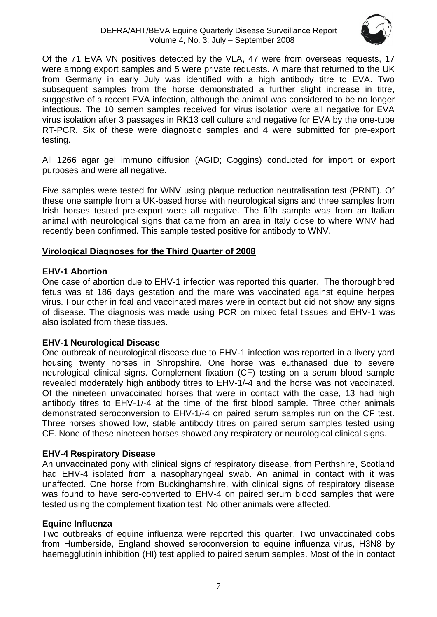

Of the 71 EVA VN positives detected by the VLA, 47 were from overseas requests, 17 were among export samples and 5 were private requests. A mare that returned to the UK from Germany in early July was identified with a high antibody titre to EVA. Two subsequent samples from the horse demonstrated a further slight increase in titre, suggestive of a recent EVA infection, although the animal was considered to be no longer infectious. The 10 semen samples received for virus isolation were all negative for EVA virus isolation after 3 passages in RK13 cell culture and negative for EVA by the one-tube RT-PCR. Six of these were diagnostic samples and 4 were submitted for pre-export testing.

All 1266 agar gel immuno diffusion (AGID; Coggins) conducted for import or export purposes and were all negative.

Five samples were tested for WNV using plaque reduction neutralisation test (PRNT). Of these one sample from a UK-based horse with neurological signs and three samples from Irish horses tested pre-export were all negative. The fifth sample was from an Italian animal with neurological signs that came from an area in Italy close to where WNV had recently been confirmed. This sample tested positive for antibody to WNV.

# **Virological Diagnoses for the Third Quarter of 2008**

# **EHV-1 Abortion**

One case of abortion due to EHV-1 infection was reported this quarter. The thoroughbred fetus was at 186 days gestation and the mare was vaccinated against equine herpes virus. Four other in foal and vaccinated mares were in contact but did not show any signs of disease. The diagnosis was made using PCR on mixed fetal tissues and EHV-1 was also isolated from these tissues.

# **EHV-1 Neurological Disease**

One outbreak of neurological disease due to EHV-1 infection was reported in a livery yard housing twenty horses in Shropshire. One horse was euthanased due to severe neurological clinical signs. Complement fixation (CF) testing on a serum blood sample revealed moderately high antibody titres to EHV-1/-4 and the horse was not vaccinated. Of the nineteen unvaccinated horses that were in contact with the case, 13 had high antibody titres to EHV-1/-4 at the time of the first blood sample. Three other animals demonstrated seroconversion to EHV-1/-4 on paired serum samples run on the CF test. Three horses showed low, stable antibody titres on paired serum samples tested using CF. None of these nineteen horses showed any respiratory or neurological clinical signs.

# **EHV-4 Respiratory Disease**

An unvaccinated pony with clinical signs of respiratory disease, from Perthshire, Scotland had EHV-4 isolated from a nasopharyngeal swab. An animal in contact with it was unaffected. One horse from Buckinghamshire, with clinical signs of respiratory disease was found to have sero-converted to EHV-4 on paired serum blood samples that were tested using the complement fixation test. No other animals were affected.

# **Equine Influenza**

Two outbreaks of equine influenza were reported this quarter. Two unvaccinated cobs from Humberside, England showed seroconversion to equine influenza virus, H3N8 by haemagglutinin inhibition (HI) test applied to paired serum samples. Most of the in contact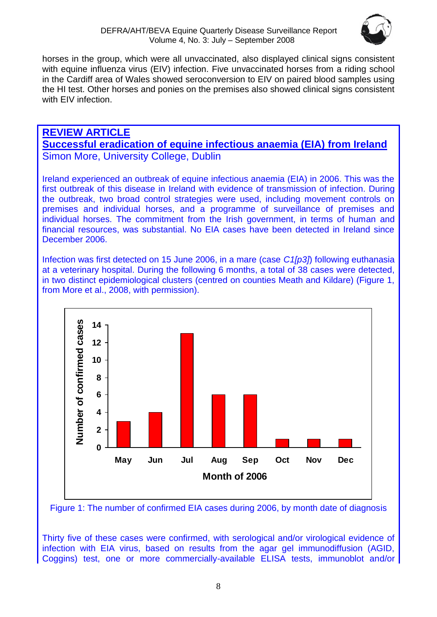

horses in the group, which were all unvaccinated, also displayed clinical signs consistent with equine influenza virus (EIV) infection. Five unvaccinated horses from a riding school in the Cardiff area of Wales showed seroconversion to EIV on paired blood samples using the HI test. Other horses and ponies on the premises also showed clinical signs consistent with EIV infection.

# **REVIEW ARTICLE Successful eradication of equine infectious anaemia (EIA) from Ireland** Simon More, University College, Dublin

Ireland experienced an outbreak of equine infectious anaemia (EIA) in 2006. This was the first outbreak of this disease in Ireland with evidence of transmission of infection. During the outbreak, two broad control strategies were used, including movement controls on premises and individual horses, and a programme of surveillance of premises and individual horses. The commitment from the Irish government, in terms of human and financial resources, was substantial. No EIA cases have been detected in Ireland since December 2006.

Infection was first detected on 15 June 2006, in a mare (case *C1[p3]*) following euthanasia at a veterinary hospital. During the following 6 months, a total of 38 cases were detected, in two distinct epidemiological clusters (centred on counties Meath and Kildare) (Figure 1, from More et al., 2008, with permission).



Figure 1: The number of confirmed EIA cases during 2006, by month date of diagnosis

Thirty five of these cases were confirmed, with serological and/or virological evidence of infection with EIA virus, based on results from the agar gel immunodiffusion (AGID, Coggins) test, one or more commercially-available ELISA tests, immunoblot and/or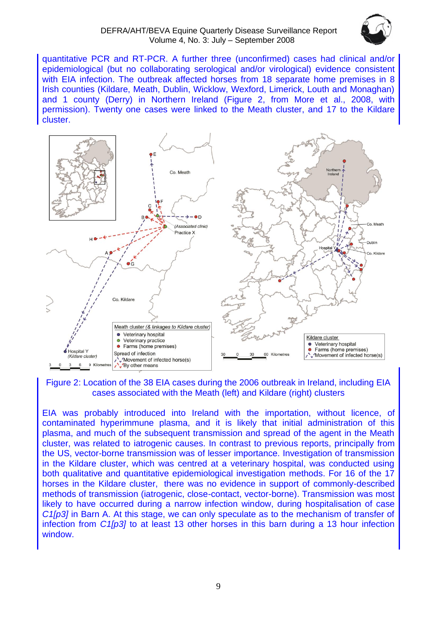

quantitative PCR and RT-PCR. A further three (unconfirmed) cases had clinical and/or epidemiological (but no collaborating serological and/or virological) evidence consistent with EIA infection. The outbreak affected horses from 18 separate home premises in 8 Irish counties (Kildare, Meath, Dublin, Wicklow, Wexford, Limerick, Louth and Monaghan) and 1 county (Derry) in Northern Ireland (Figure 2, from More et al., 2008, with permission). Twenty one cases were linked to the Meath cluster, and 17 to the Kildare cluster.



Figure 2: Location of the 38 EIA cases during the 2006 outbreak in Ireland, including EIA cases associated with the Meath (left) and Kildare (right) clusters

EIA was probably introduced into Ireland with the importation, without licence, of contaminated hyperimmune plasma, and it is likely that initial administration of this plasma, and much of the subsequent transmission and spread of the agent in the Meath cluster, was related to iatrogenic causes. In contrast to previous reports, principally from the US, vector-borne transmission was of lesser importance. Investigation of transmission in the Kildare cluster, which was centred at a veterinary hospital, was conducted using both qualitative and quantitative epidemiological investigation methods. For 16 of the 17 horses in the Kildare cluster, there was no evidence in support of commonly-described methods of transmission (iatrogenic, close-contact, vector-borne). Transmission was most likely to have occurred during a narrow infection window, during hospitalisation of case *C1[p3]* in Barn A. At this stage, we can only speculate as to the mechanism of transfer of infection from *C1[p3]* to at least 13 other horses in this barn during a 13 hour infection window.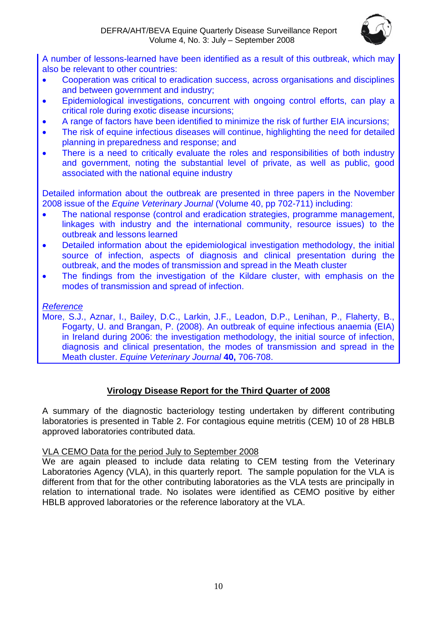

A number of lessons-learned have been identified as a result of this outbreak, which may also be relevant to other countries:

- Cooperation was critical to eradication success, across organisations and disciplines and between government and industry;
- Epidemiological investigations, concurrent with ongoing control efforts, can play a critical role during exotic disease incursions;
- A range of factors have been identified to minimize the risk of further EIA incursions;
- The risk of equine infectious diseases will continue, highlighting the need for detailed planning in preparedness and response; and
- There is a need to critically evaluate the roles and responsibilities of both industry and government, noting the substantial level of private, as well as public, good associated with the national equine industry

Detailed information about the outbreak are presented in three papers in the November 2008 issue of the *Equine Veterinary Journal* (Volume 40, pp 702-711) including:

- The national response (control and eradication strategies, programme management, linkages with industry and the international community, resource issues) to the outbreak and lessons learned
- Detailed information about the epidemiological investigation methodology, the initial source of infection, aspects of diagnosis and clinical presentation during the outbreak, and the modes of transmission and spread in the Meath cluster
- The findings from the investigation of the Kildare cluster, with emphasis on the modes of transmission and spread of infection.

# *Reference*

More, S.J., Aznar, I., Bailey, D.C., Larkin, J.F., Leadon, D.P., Lenihan, P., Flaherty, B., Fogarty, U. and Brangan, P. (2008). An outbreak of equine infectious anaemia (EIA) in Ireland during 2006: the investigation methodology, the initial source of infection, diagnosis and clinical presentation, the modes of transmission and spread in the Meath cluster. *Equine Veterinary Journal* **40,** 706-708.

# **Virology Disease Report for the Third Quarter of 2008**

A summary of the diagnostic bacteriology testing undertaken by different contributing laboratories is presented in Table 2. For contagious equine metritis (CEM) 10 of 28 HBLB approved laboratories contributed data.

# VLA CEMO Data for the period July to September 2008

We are again pleased to include data relating to CEM testing from the Veterinary Laboratories Agency (VLA), in this quarterly report. The sample population for the VLA is different from that for the other contributing laboratories as the VLA tests are principally in relation to international trade. No isolates were identified as CEMO positive by either HBLB approved laboratories or the reference laboratory at the VLA.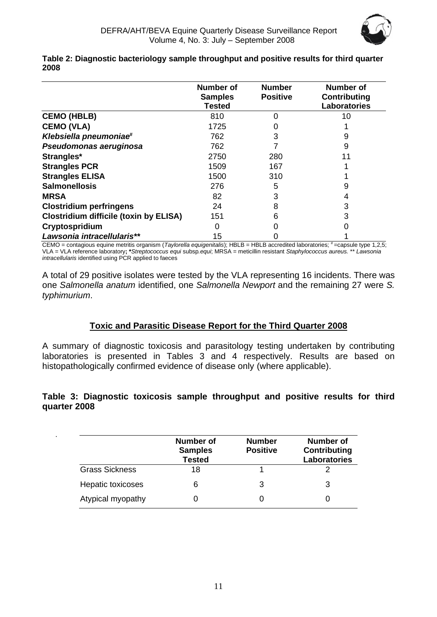

|                                               | <b>Number of</b><br><b>Samples</b><br><b>Tested</b> | <b>Number</b><br><b>Positive</b> | <b>Number of</b><br><b>Contributing</b><br><b>Laboratories</b> |
|-----------------------------------------------|-----------------------------------------------------|----------------------------------|----------------------------------------------------------------|
| <b>CEMO (HBLB)</b>                            | 810                                                 | 0                                | 10                                                             |
| <b>CEMO (VLA)</b>                             | 1725                                                |                                  |                                                                |
| Klebsiella pneumoniae <sup>#</sup>            | 762                                                 | 3                                | 9                                                              |
| Pseudomonas aeruginosa                        | 762                                                 |                                  | 9                                                              |
| Strangles*                                    | 2750                                                | 280                              |                                                                |
| <b>Strangles PCR</b>                          | 1509                                                | 167                              |                                                                |
| <b>Strangles ELISA</b>                        | 1500                                                | 310                              |                                                                |
| <b>Salmonellosis</b>                          | 276                                                 | 5                                | 9                                                              |
| <b>MRSA</b>                                   | 82                                                  | 3                                |                                                                |
| <b>Clostridium perfringens</b>                | 24                                                  | 8                                | 3                                                              |
| <b>Clostridium difficile (toxin by ELISA)</b> | 151                                                 | 6                                |                                                                |
| Cryptospridium                                |                                                     |                                  |                                                                |
| Lawsonia intracellularis**                    | 15                                                  |                                  |                                                                |

**Table 2: Diagnostic bacteriology sample throughput and positive results for third quarter 2008**

CEMO = contagious equine metritis organism (*Taylorella equigenitalis*); HBLB = HBLB accredited laboratories; # =capsule type 1,2,5; VLA = VLA reference laboratory**; \****Streptococcus equi* subsp*.equi*; MRSA = meticillin resistant *Staphylococcus aureus.* \*\* *Lawsonia intracellularis* identified using PCR applied to faeces

A total of 29 positive isolates were tested by the VLA representing 16 incidents. There was one *Salmonella anatum* identified, one *Salmonella Newport* and the remaining 27 were *S. typhimurium*.

# **Toxic and Parasitic Disease Report for the Third Quarter 2008**

A summary of diagnostic toxicosis and parasitology testing undertaken by contributing laboratories is presented in Tables 3 and 4 respectively. Results are based on histopathologically confirmed evidence of disease only (where applicable).

# **Table 3: Diagnostic toxicosis sample throughput and positive results for third quarter 2008**

|                       | Number of<br><b>Samples</b><br><b>Tested</b> | <b>Number</b><br><b>Positive</b> | Number of<br><b>Contributing</b><br><b>Laboratories</b> |
|-----------------------|----------------------------------------------|----------------------------------|---------------------------------------------------------|
| <b>Grass Sickness</b> | 18                                           |                                  |                                                         |
| Hepatic toxicoses     | 6                                            | 3                                | 3                                                       |
| Atypical myopathy     |                                              |                                  |                                                         |

.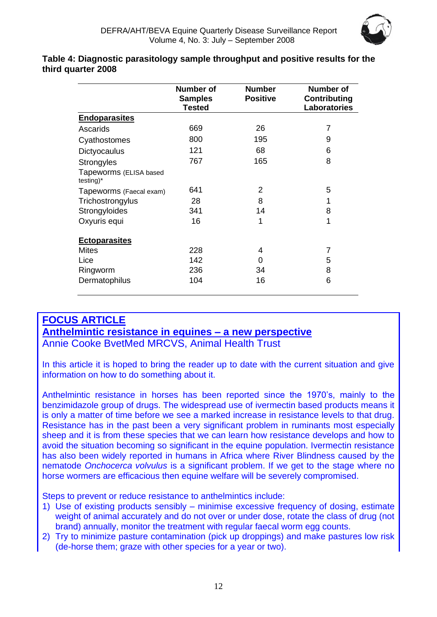

#### **Table 4: Diagnostic parasitology sample throughput and positive results for the third quarter 2008**

|                                     | <b>Number of</b><br><b>Samples</b><br><b>Tested</b> | <b>Number</b><br><b>Positive</b> | Number of<br><b>Contributing</b><br>Laboratories |
|-------------------------------------|-----------------------------------------------------|----------------------------------|--------------------------------------------------|
| <b>Endoparasites</b>                |                                                     |                                  |                                                  |
| Ascarids                            | 669                                                 | 26                               | 7                                                |
| Cyathostomes                        | 800                                                 | 195                              | 9                                                |
| Dictyocaulus                        | 121                                                 | 68                               | 6                                                |
| Strongyles                          | 767                                                 | 165                              | 8                                                |
| Tapeworms (ELISA based<br>testing)* |                                                     |                                  |                                                  |
| Tapeworms (Faecal exam)             | 641                                                 | 2                                | 5                                                |
| Trichostrongylus                    | 28                                                  | 8                                | 1                                                |
| Strongyloides                       | 341                                                 | 14                               | 8                                                |
| Oxyuris equi                        | 16                                                  | 1                                | 1                                                |
| <b>Ectoparasites</b>                |                                                     |                                  |                                                  |
| <b>Mites</b>                        | 228                                                 | 4                                | 7                                                |
| Lice                                | 142                                                 | 0                                | 5                                                |
| Ringworm                            | 236                                                 | 34                               | 8                                                |
| Dermatophilus                       | 104                                                 | 16                               | 6                                                |

# **FOCUS ARTICLE Anthelmintic resistance in equines – a new perspective**

Annie Cooke BvetMed MRCVS, Animal Health Trust

In this article it is hoped to bring the reader up to date with the current situation and give information on how to do something about it.

Anthelmintic resistance in horses has been reported since the 1970's, mainly to the benzimidazole group of drugs. The widespread use of ivermectin based products means it is only a matter of time before we see a marked increase in resistance levels to that drug. Resistance has in the past been a very significant problem in ruminants most especially sheep and it is from these species that we can learn how resistance develops and how to avoid the situation becoming so significant in the equine population. Ivermectin resistance has also been widely reported in humans in Africa where River Blindness caused by the nematode *Onchocerca volvulus* is a significant problem. If we get to the stage where no horse wormers are efficacious then equine welfare will be severely compromised.

Steps to prevent or reduce resistance to anthelmintics include:

- 1) Use of existing products sensibly minimise excessive frequency of dosing, estimate weight of animal accurately and do not over or under dose, rotate the class of drug (not brand) annually, monitor the treatment with regular faecal worm egg counts.
- 2) Try to minimize pasture contamination (pick up droppings) and make pastures low risk (de-horse them; graze with other species for a year or two).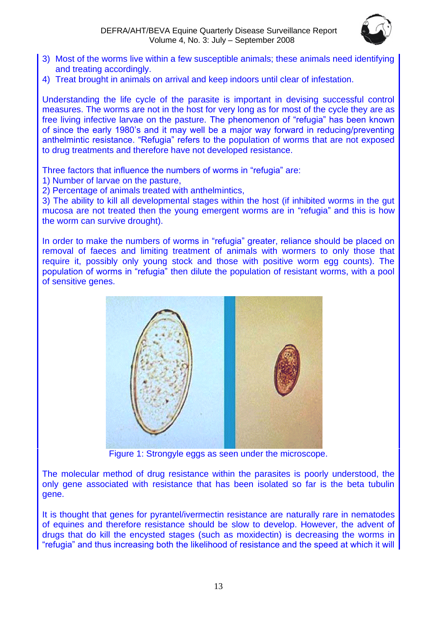

- 3) Most of the worms live within a few susceptible animals; these animals need identifying and treating accordingly.
- 4) Treat brought in animals on arrival and keep indoors until clear of infestation.

Understanding the life cycle of the parasite is important in devising successful control measures. The worms are not in the host for very long as for most of the cycle they are as free living infective larvae on the pasture. The phenomenon of "refugia" has been known of since the early 1980's and it may well be a major way forward in reducing/preventing anthelmintic resistance. "Refugia" refers to the population of worms that are not exposed to drug treatments and therefore have not developed resistance.

Three factors that influence the numbers of worms in "refugia" are:

1) Number of larvae on the pasture,

2) Percentage of animals treated with anthelmintics,

3) The ability to kill all developmental stages within the host (if inhibited worms in the gut mucosa are not treated then the young emergent worms are in "refugia" and this is how the worm can survive drought).

In order to make the numbers of worms in "refugia" greater, reliance should be placed on removal of faeces and limiting treatment of animals with wormers to only those that require it, possibly only young stock and those with positive worm egg counts). The population of worms in "refugia" then dilute the population of resistant worms, with a pool of sensitive genes.



Figure 1: Strongyle eggs as seen under the microscope.

The molecular method of drug resistance within the parasites is poorly understood, the only gene associated with resistance that has been isolated so far is the beta tubulin gene.

It is thought that genes for pyrantel/ivermectin resistance are naturally rare in nematodes of equines and therefore resistance should be slow to develop. However, the advent of drugs that do kill the encysted stages (such as moxidectin) is decreasing the worms in "refugia" and thus increasing both the likelihood of resistance and the speed at which it will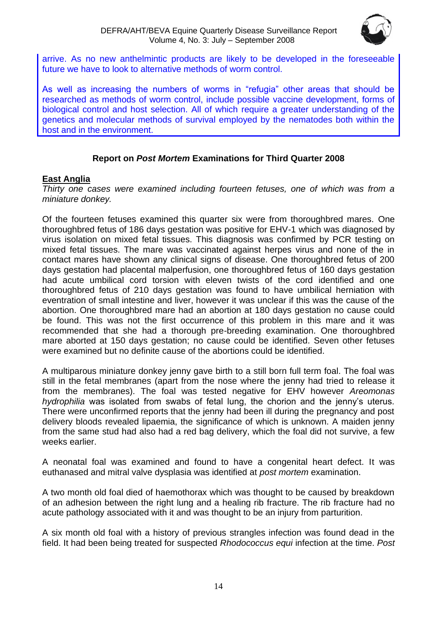

arrive. As no new anthelmintic products are likely to be developed in the foreseeable future we have to look to alternative methods of worm control.

As well as increasing the numbers of worms in "refugia" other areas that should be researched as methods of worm control, include possible vaccine development, forms of biological control and host selection. All of which require a greater understanding of the genetics and molecular methods of survival employed by the nematodes both within the host and in the environment.

# **Report on** *Post Mortem* **Examinations for Third Quarter 2008**

# **East Anglia**

*Thirty one cases were examined including fourteen fetuses, one of which was from a miniature donkey.*

Of the fourteen fetuses examined this quarter six were from thoroughbred mares. One thoroughbred fetus of 186 days gestation was positive for EHV-1 which was diagnosed by virus isolation on mixed fetal tissues. This diagnosis was confirmed by PCR testing on mixed fetal tissues. The mare was vaccinated against herpes virus and none of the in contact mares have shown any clinical signs of disease. One thoroughbred fetus of 200 days gestation had placental malperfusion, one thoroughbred fetus of 160 days gestation had acute umbilical cord torsion with eleven twists of the cord identified and one thoroughbred fetus of 210 days gestation was found to have umbilical herniation with eventration of small intestine and liver, however it was unclear if this was the cause of the abortion. One thoroughbred mare had an abortion at 180 days gestation no cause could be found. This was not the first occurrence of this problem in this mare and it was recommended that she had a thorough pre-breeding examination. One thoroughbred mare aborted at 150 days gestation; no cause could be identified. Seven other fetuses were examined but no definite cause of the abortions could be identified.

A multiparous miniature donkey jenny gave birth to a still born full term foal. The foal was still in the fetal membranes (apart from the nose where the jenny had tried to release it from the membranes). The foal was tested negative for EHV however *Areomonas hydrophilia* was isolated from swabs of fetal lung, the chorion and the jenny's uterus. There were unconfirmed reports that the jenny had been ill during the pregnancy and post delivery bloods revealed lipaemia, the significance of which is unknown. A maiden jenny from the same stud had also had a red bag delivery, which the foal did not survive, a few weeks earlier.

A neonatal foal was examined and found to have a congenital heart defect. It was euthanased and mitral valve dysplasia was identified at *post mortem* examination.

A two month old foal died of haemothorax which was thought to be caused by breakdown of an adhesion between the right lung and a healing rib fracture. The rib fracture had no acute pathology associated with it and was thought to be an injury from parturition.

A six month old foal with a history of previous strangles infection was found dead in the field. It had been being treated for suspected *Rhodococcus equi* infection at the time. *Post*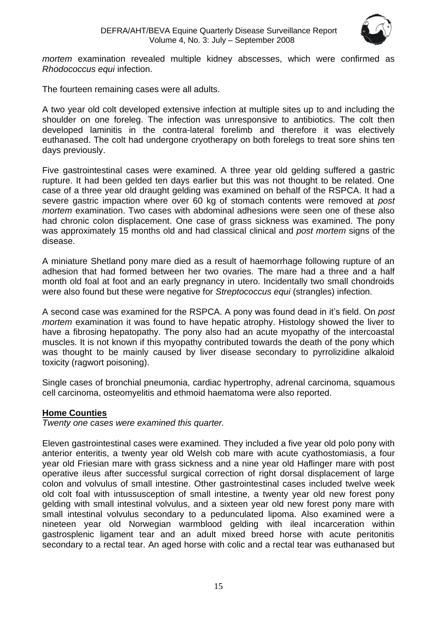

*mortem* examination revealed multiple kidney abscesses, which were confirmed as *Rhodococcus equi* infection.

The fourteen remaining cases were all adults.

A two year old colt developed extensive infection at multiple sites up to and including the shoulder on one foreleg. The infection was unresponsive to antibiotics. The colt then developed laminitis in the contra-lateral forelimb and therefore it was electively euthanased. The colt had undergone cryotherapy on both forelegs to treat sore shins ten days previously.

Five gastrointestinal cases were examined. A three year old gelding suffered a gastric rupture. It had been gelded ten days earlier but this was not thought to be related. One case of a three year old draught gelding was examined on behalf of the RSPCA. It had a severe gastric impaction where over 60 kg of stomach contents were removed at *post mortem* examination. Two cases with abdominal adhesions were seen one of these also had chronic colon displacement. One case of grass sickness was examined. The pony was approximately 15 months old and had classical clinical and *post mortem* signs of the disease.

A miniature Shetland pony mare died as a result of haemorrhage following rupture of an adhesion that had formed between her two ovaries. The mare had a three and a half month old foal at foot and an early pregnancy in utero. Incidentally two small chondroids were also found but these were negative for *Streptococcus equi* (strangles) infection.

A second case was examined for the RSPCA. A pony was found dead in it's field. On *post mortem* examination it was found to have hepatic atrophy. Histology showed the liver to have a fibrosing hepatopathy. The pony also had an acute myopathy of the intercoastal muscles. It is not known if this myopathy contributed towards the death of the pony which was thought to be mainly caused by liver disease secondary to pyrrolizidine alkaloid toxicity (ragwort poisoning).

Single cases of bronchial pneumonia, cardiac hypertrophy, adrenal carcinoma, squamous cell carcinoma, osteomyelitis and ethmoid haematoma were also reported.

# **Home Counties**

*Twenty one cases were examined this quarter.*

Eleven gastrointestinal cases were examined. They included a five year old polo pony with anterior enteritis, a twenty year old Welsh cob mare with acute cyathostomiasis, a four year old Friesian mare with grass sickness and a nine year old Haflinger mare with post operative ileus after successful surgical correction of right dorsal displacement of large colon and volvulus of small intestine. Other gastrointestinal cases included twelve week old colt foal with intussusception of small intestine, a twenty year old new forest pony gelding with small intestinal volvulus, and a sixteen year old new forest pony mare with small intestinal volvulus secondary to a pedunculated lipoma. Also examined were a nineteen year old Norwegian warmblood gelding with ileal incarceration within gastrosplenic ligament tear and an adult mixed breed horse with acute peritonitis secondary to a rectal tear. An aged horse with colic and a rectal tear was euthanased but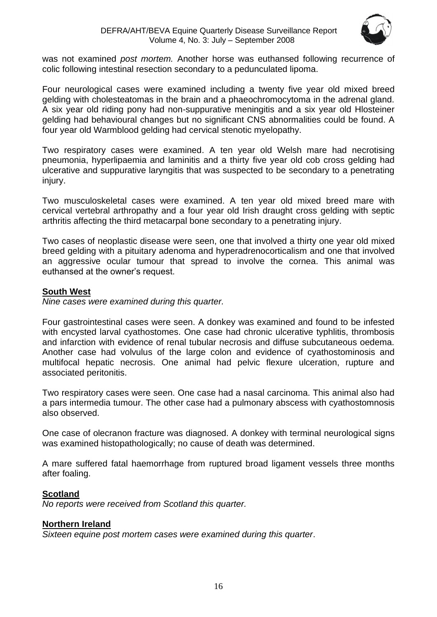

was not examined *post mortem.* Another horse was euthansed following recurrence of colic following intestinal resection secondary to a pedunculated lipoma.

Four neurological cases were examined including a twenty five year old mixed breed gelding with cholesteatomas in the brain and a phaeochromocytoma in the adrenal gland. A six year old riding pony had non-suppurative meningitis and a six year old Hlosteiner gelding had behavioural changes but no significant CNS abnormalities could be found. A four year old Warmblood gelding had cervical stenotic myelopathy.

Two respiratory cases were examined. A ten year old Welsh mare had necrotising pneumonia, hyperlipaemia and laminitis and a thirty five year old cob cross gelding had ulcerative and suppurative laryngitis that was suspected to be secondary to a penetrating injury.

Two musculoskeletal cases were examined. A ten year old mixed breed mare with cervical vertebral arthropathy and a four year old Irish draught cross gelding with septic arthritis affecting the third metacarpal bone secondary to a penetrating injury.

Two cases of neoplastic disease were seen, one that involved a thirty one year old mixed breed gelding with a pituitary adenoma and hyperadrenocorticalism and one that involved an aggressive ocular tumour that spread to involve the cornea. This animal was euthansed at the owner's request.

# **South West**

*Nine cases were examined during this quarter.*

Four gastrointestinal cases were seen. A donkey was examined and found to be infested with encysted larval cyathostomes. One case had chronic ulcerative typhlitis, thrombosis and infarction with evidence of renal tubular necrosis and diffuse subcutaneous oedema. Another case had volvulus of the large colon and evidence of cyathostominosis and multifocal hepatic necrosis. One animal had pelvic flexure ulceration, rupture and associated peritonitis.

Two respiratory cases were seen. One case had a nasal carcinoma. This animal also had a pars intermedia tumour. The other case had a pulmonary abscess with cyathostomnosis also observed.

One case of olecranon fracture was diagnosed. A donkey with terminal neurological signs was examined histopathologically; no cause of death was determined.

A mare suffered fatal haemorrhage from ruptured broad ligament vessels three months after foaling.

# **Scotland**

*No reports were received from Scotland this quarter.*

# **Northern Ireland**

*Sixteen equine post mortem cases were examined during this quarter*.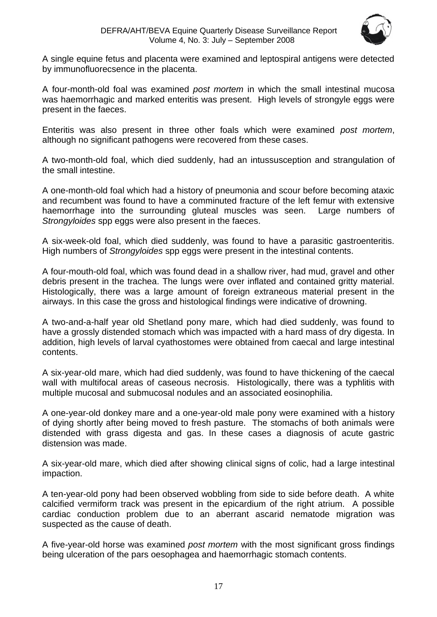

A single equine fetus and placenta were examined and leptospiral antigens were detected by immunofluorecsence in the placenta.

A four-month-old foal was examined *post mortem* in which the small intestinal mucosa was haemorrhagic and marked enteritis was present. High levels of strongyle eggs were present in the faeces.

Enteritis was also present in three other foals which were examined *post mortem*, although no significant pathogens were recovered from these cases.

A two-month-old foal, which died suddenly, had an intussusception and strangulation of the small intestine.

A one-month-old foal which had a history of pneumonia and scour before becoming ataxic and recumbent was found to have a comminuted fracture of the left femur with extensive haemorrhage into the surrounding gluteal muscles was seen. Large numbers of *Strongyloides* spp eggs were also present in the faeces.

A six-week-old foal, which died suddenly, was found to have a parasitic gastroenteritis. High numbers of *Strongyloides* spp eggs were present in the intestinal contents.

A four-mouth-old foal, which was found dead in a shallow river, had mud, gravel and other debris present in the trachea. The lungs were over inflated and contained gritty material. Histologically, there was a large amount of foreign extraneous material present in the airways. In this case the gross and histological findings were indicative of drowning.

A two-and-a-half year old Shetland pony mare, which had died suddenly, was found to have a grossly distended stomach which was impacted with a hard mass of dry digesta. In addition, high levels of larval cyathostomes were obtained from caecal and large intestinal contents.

A six-year-old mare, which had died suddenly, was found to have thickening of the caecal wall with multifocal areas of caseous necrosis. Histologically, there was a typhlitis with multiple mucosal and submucosal nodules and an associated eosinophilia.

A one-year-old donkey mare and a one-year-old male pony were examined with a history of dying shortly after being moved to fresh pasture. The stomachs of both animals were distended with grass digesta and gas. In these cases a diagnosis of acute gastric distension was made.

A six-year-old mare, which died after showing clinical signs of colic, had a large intestinal impaction.

A ten-year-old pony had been observed wobbling from side to side before death. A white calcified vermiform track was present in the epicardium of the right atrium. A possible cardiac conduction problem due to an aberrant ascarid nematode migration was suspected as the cause of death.

A five-year-old horse was examined *post mortem* with the most significant gross findings being ulceration of the pars oesophagea and haemorrhagic stomach contents.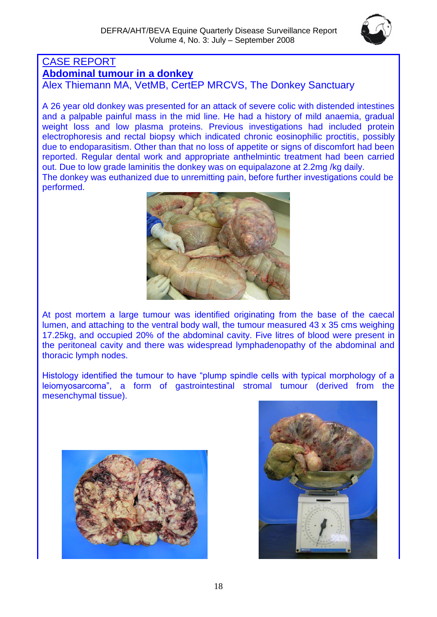

# CASE REPORT **Abdominal tumour in a donkey**

Alex Thiemann MA, VetMB, CertEP MRCVS, The Donkey Sanctuary

A 26 year old donkey was presented for an attack of severe colic with distended intestines and a palpable painful mass in the mid line. He had a history of mild anaemia, gradual weight loss and low plasma proteins. Previous investigations had included protein electrophoresis and rectal biopsy which indicated chronic eosinophilic proctitis, possibly due to endoparasitism. Other than that no loss of appetite or signs of discomfort had been reported. Regular dental work and appropriate anthelmintic treatment had been carried out. Due to low grade laminitis the donkey was on equipalazone at 2.2mg /kg daily. The donkey was euthanized due to unremitting pain, before further investigations could be performed.



At post mortem a large tumour was identified originating from the base of the caecal lumen, and attaching to the ventral body wall, the tumour measured 43 x 35 cms weighing 17.25kg, and occupied 20% of the abdominal cavity. Five litres of blood were present in the peritoneal cavity and there was widespread lymphadenopathy of the abdominal and thoracic lymph nodes.

Histology identified the tumour to have "plump spindle cells with typical morphology of a leiomyosarcoma", a form of gastrointestinal stromal tumour (derived from the mesenchymal tissue).



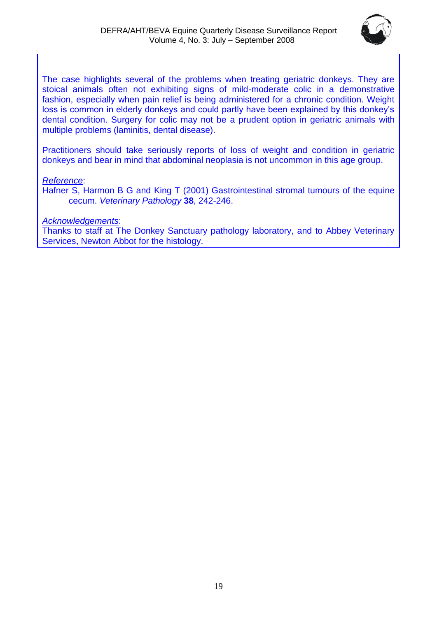

The case highlights several of the problems when treating geriatric donkeys. They are stoical animals often not exhibiting signs of mild-moderate colic in a demonstrative fashion, especially when pain relief is being administered for a chronic condition. Weight loss is common in elderly donkeys and could partly have been explained by this donkey's dental condition. Surgery for colic may not be a prudent option in geriatric animals with multiple problems (laminitis, dental disease).

Practitioners should take seriously reports of loss of weight and condition in geriatric donkeys and bear in mind that abdominal neoplasia is not uncommon in this age group.

*Reference*:

Hafner S, Harmon B G and King T (2001) Gastrointestinal stromal tumours of the equine cecum. *Veterinary Pathology* **38**, 242-246.

*Acknowledgements*:

Thanks to staff at The Donkey Sanctuary pathology laboratory, and to Abbey Veterinary Services, Newton Abbot for the histology.